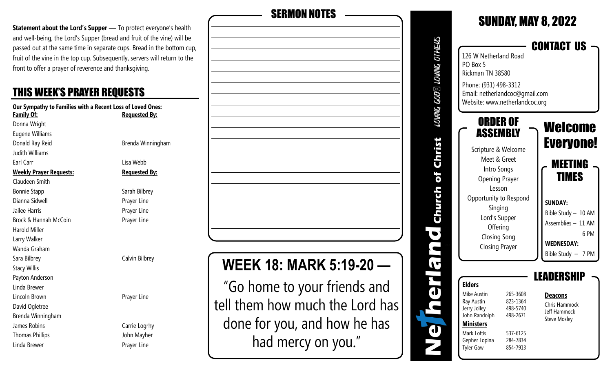**Statement about the Lord's Supper** — To protect everyone's health and well-being, the Lord's Supper (bread and fruit of the vine) will be passed out at the same time in separate cups. Bread in the bottom cup, fruit of the vine in the top cup. Subsequently, servers will return to the front to offer a prayer of reverence and thanksgiving.

#### THIS WEEK'S PRAYER REQUESTS

| Our Sympathy to Families with a Recent Loss of Loved Ones: |                       |  |  |
|------------------------------------------------------------|-----------------------|--|--|
| Family Of:                                                 | <u> Requested By:</u> |  |  |
| Donna Wright                                               |                       |  |  |
| <b>Eugene Williams</b>                                     |                       |  |  |
| Donald Ray Reid                                            | Brenda Winningham     |  |  |
| <b>Judith Williams</b>                                     |                       |  |  |
| Earl Carr                                                  | Lisa Webb             |  |  |
| <b>Weekly Prayer Requests:</b>                             | <b>Requested By:</b>  |  |  |
| Claudeen Smith                                             |                       |  |  |
| <b>Bonnie Stapp</b>                                        | Sarah Bilbrey         |  |  |
| Dianna Sidwell                                             | Prayer Line           |  |  |
| Jailee Harris                                              | Prayer Line           |  |  |
| Brock & Hannah McCoin                                      | Prayer Line           |  |  |
| <b>Harold Miller</b>                                       |                       |  |  |
| Larry Walker                                               |                       |  |  |
| Wanda Graham                                               |                       |  |  |
| Sara Bilbrey                                               | Calvin Bilbrey        |  |  |
| <b>Stacy Willis</b>                                        |                       |  |  |
| Payton Anderson                                            |                       |  |  |
| Linda Brewer                                               |                       |  |  |
| Lincoln Brown                                              | Prayer Line           |  |  |
| David Ogletree                                             |                       |  |  |
| Brenda Winningham                                          |                       |  |  |
| James Robins                                               | Carrie Logrhy         |  |  |
| <b>Thomas Phillips</b>                                     | John Mayher           |  |  |
| Linda Brewer                                               | Prayer Line           |  |  |

| <b>SERMON NOTES</b>                                                                             |
|-------------------------------------------------------------------------------------------------|
|                                                                                                 |
|                                                                                                 |
|                                                                                                 |
|                                                                                                 |
|                                                                                                 |
|                                                                                                 |
|                                                                                                 |
|                                                                                                 |
|                                                                                                 |
|                                                                                                 |
|                                                                                                 |
| EEK 18: MARK 5:19-20                                                                            |
| "Go home to your friends and<br>tell them how much the Lord has<br>done for you, and how he has |

had mercy on you."

#### SUNDAY, MAY 8, 2022 LOVING GOD⊠ LOVING OTHERS CONTACT US 126 W Netherland Road PO Box 5 Rickman TN 38580 Phone: (931) 498-3312 Email: netherlandcoc@gmail.com Website: www.netherlandcoc.org ORDER OF Welcome **ASSEMBLY** Christ Everyone! Scripture & Welcome Meet & Greet MEETING Intro Songs of TIMES Opening Prayer Lesson Church Opportunity to Respond **SUNDAY:** Singing Bible Study – 10 AM Lord's Supper Assemblies – 11 AM **Offering**  $\bullet$  6 PM Closing Song **WEDNESDAY:**  $\blacksquare$ Closing Prayer Bible Study – 7 PM IT LEADERSHIP ă **Elders** Mike Austin 265-3608 **Deacons** Ray Austin 823-1364 Chris Hammock Jerry Jolley 498-5740 Jeff Hammock John Randolph 498-2671 Steve Mosley **Ministers**  $\mathbf d$ Mark Loftis 537-6125 Gepher Lopina 284-7834 Tyler Gaw 854-7913